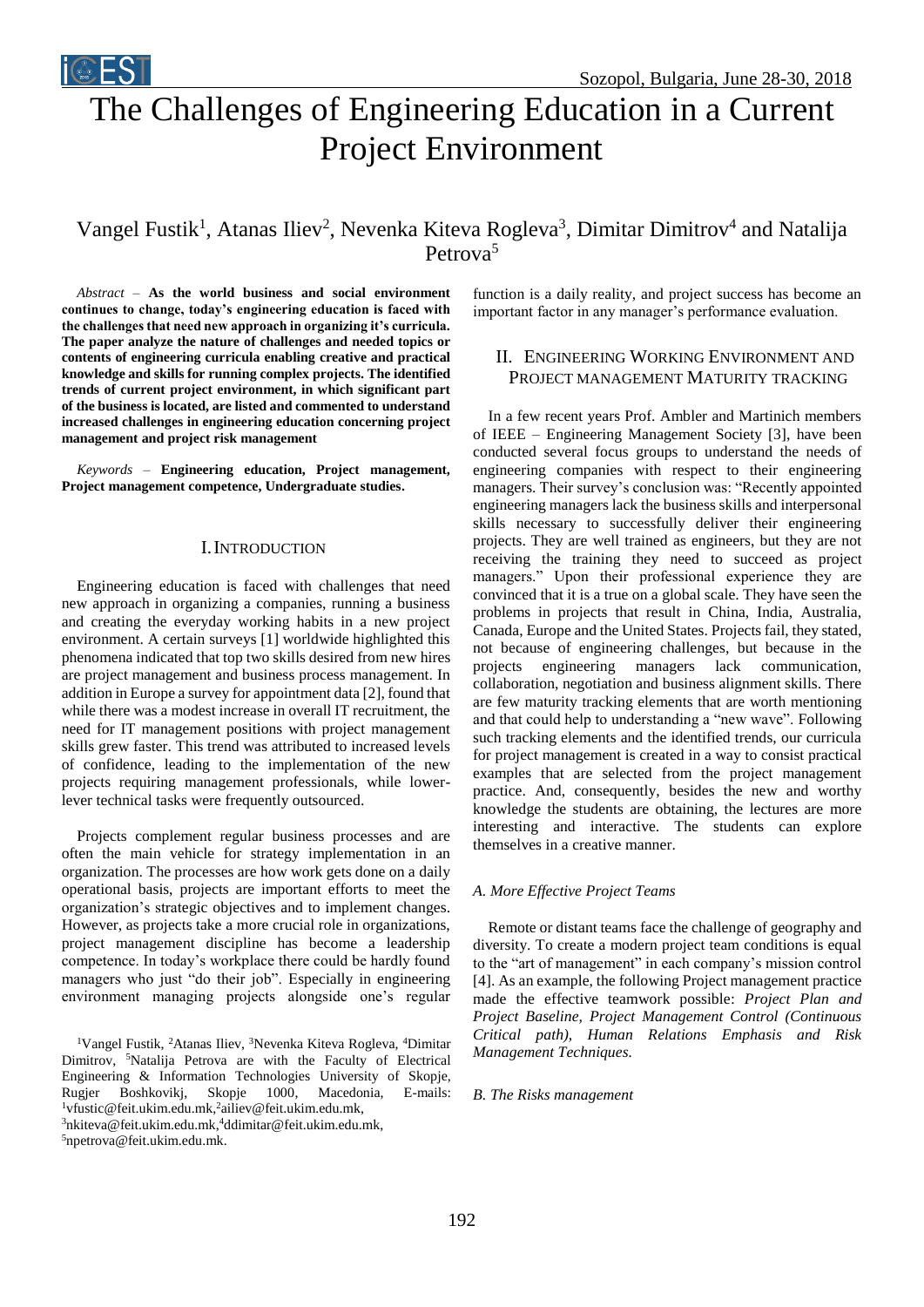# The Challenges of Engineering Education in a Current Project Environment

# Vangel Fustik<sup>1</sup>, Atanas Iliev<sup>2</sup>, Nevenka Kiteva Rogleva<sup>3</sup>, Dimitar Dimitrov<sup>4</sup> and Natalija Petrova<sup>5</sup>

*Abstract –* **As the world business and social environment continues to change, today's engineering education is faced with the challenges that need new approach in organizing it's curricula. The paper analyze the nature of challenges and needed topics or contents of engineering curricula enabling creative and practical knowledge and skills for running complex projects. The identified trends of current project environment, in which significant part of the business is located, are listed and commented to understand increased challenges in engineering education concerning project management and project risk management**

**i** EST

*Keywords –* **Engineering education, Project management, Project management competence, Undergraduate studies.**

#### I.INTRODUCTION

Engineering education is faced with challenges that need new approach in organizing a companies, running a business and creating the everyday working habits in a new project environment. A certain surveys [1] worldwide highlighted this phenomena indicated that top two skills desired from new hires are project management and business process management. In addition in Europe a survey for appointment data [2], found that while there was a modest increase in overall IT recruitment, the need for IT management positions with project management skills grew faster. This trend was attributed to increased levels of confidence, leading to the implementation of the new projects requiring management professionals, while lowerlever technical tasks were frequently outsourced.

Projects complement regular business processes and are often the main vehicle for strategy implementation in an organization. The processes are how work gets done on a daily operational basis, projects are important efforts to meet the organization's strategic objectives and to implement changes. However, as projects take a more crucial role in organizations, project management discipline has become a leadership competence. In today's workplace there could be hardly found managers who just "do their job". Especially in engineering environment managing projects alongside one's regular

<sup>1</sup>Vangel Fustik, <sup>2</sup>Atanas Iliev, <sup>3</sup>Nevenka Kiteva Rogleva, <sup>4</sup>Dimitar Dimitrov, <sup>5</sup>Natalija Petrova are with the Faculty of Electrical Engineering & Information Technologies University of Skopje, Rugjer Boshkovikj, Skopje 1000, Macedonia, E-mails: <sup>1</sup>vfustic@feit.ukim.edu.mk,<sup>2</sup>ailiev@feit.ukim.edu.mk,

<sup>3</sup>nkiteva@feit.ukim.edu.mk, <sup>4</sup>ddimitar@feit.ukim.edu.mk,

5npetrova@feit.ukim.edu.mk.

function is a daily reality, and project success has become an important factor in any manager's performance evaluation.

### II. ENGINEERING WORKING ENVIRONMENT AND PROJECT MANAGEMENT MATURITY TRACKING

In a few recent years Prof. Ambler and Martinich members of IEEE – Engineering Management Society [3], have been conducted several focus groups to understand the needs of engineering companies with respect to their engineering managers. Their survey's conclusion was: "Recently appointed engineering managers lack the business skills and interpersonal skills necessary to successfully deliver their engineering projects. They are well trained as engineers, but they are not receiving the training they need to succeed as project managers." Upon their professional experience they are convinced that it is a true on a global scale. They have seen the problems in projects that result in China, India, Australia, Canada, Europe and the United States. Projects fail, they stated, not because of engineering challenges, but because in the projects engineering managers lack communication, collaboration, negotiation and business alignment skills. There are few maturity tracking elements that are worth mentioning and that could help to understanding a "new wave". Following such tracking elements and the identified trends, our curricula for project management is created in a way to consist practical examples that are selected from the project management practice. And, consequently, besides the new and worthy knowledge the students are obtaining, the lectures are more interesting and interactive. The students can explore themselves in a creative manner.

#### *A. More Effective Project Teams*

Remote or distant teams face the challenge of geography and diversity. To create a modern project team conditions is equal to the "art of management" in each company's mission control [4]. As an example, the following Project management practice made the effective teamwork possible: *Project Plan and Project Baseline, Project Management Control (Continuous Critical path), Human Relations Emphasis and Risk Management Techniques.*

#### *B. The Risks management*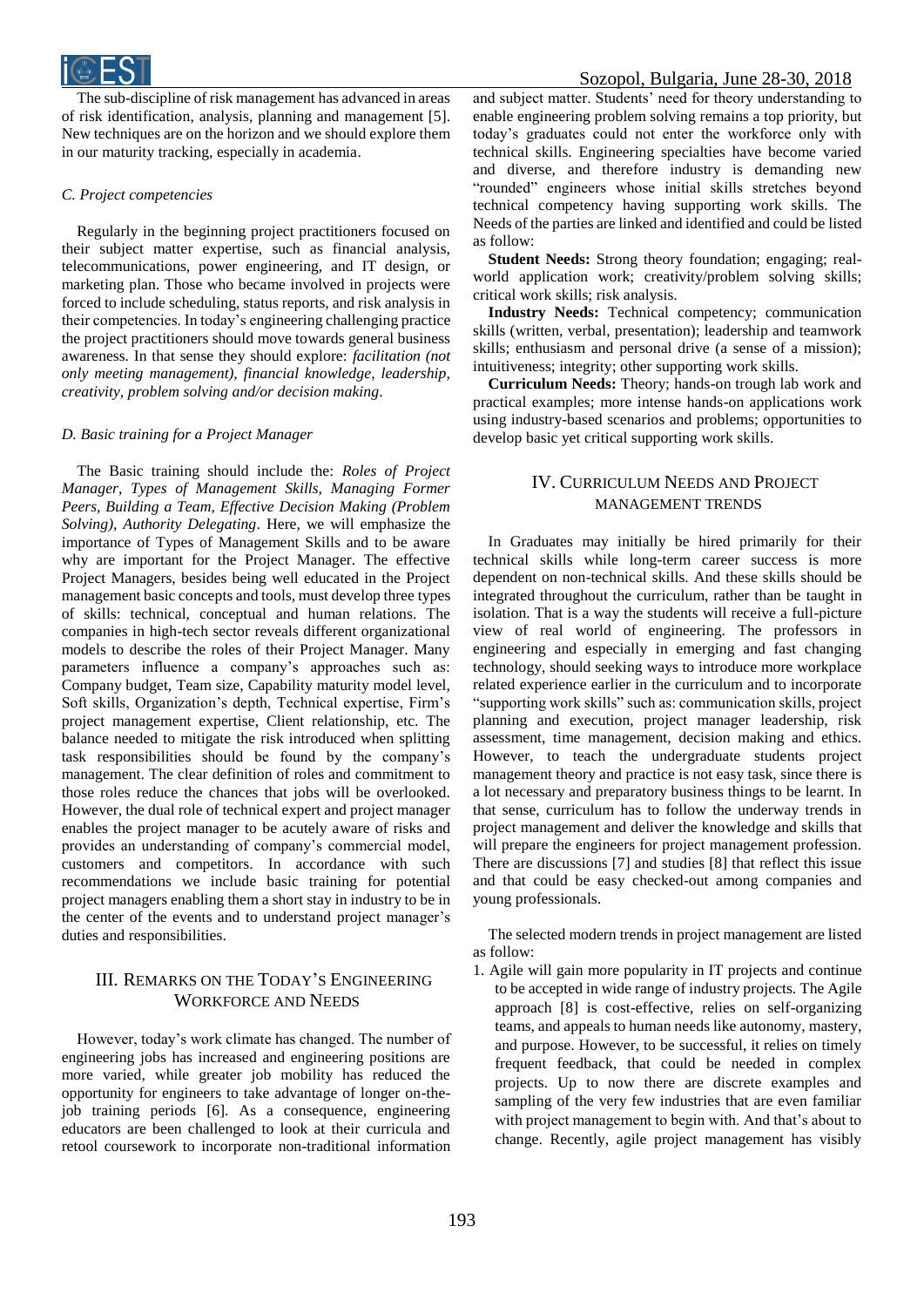

The sub-discipline of risk management has advanced in areas of risk identification, analysis, planning and management [5]. New techniques are on the horizon and we should explore them in our maturity tracking, especially in academia.

#### *C. Project competencies*

Regularly in the beginning project practitioners focused on their subject matter expertise, such as financial analysis, telecommunications, power engineering, and IT design, or marketing plan. Those who became involved in projects were forced to include scheduling, status reports, and risk analysis in their competencies. In today's engineering challenging practice the project practitioners should move towards general business awareness. In that sense they should explore: *facilitation (not only meeting management), financial knowledge, leadership, creativity, problem solving and/or decision making*.

#### *D. Basic training for a Project Manager*

The Basic training should include the: *Roles of Project Manager, Types of Management Skills, Managing Former Peers, Building a Team, Effective Decision Making (Problem Solving), Authority Delegating*. Here, we will emphasize the importance of Types of Management Skills and to be aware why are important for the Project Manager. The effective Project Managers, besides being well educated in the Project management basic concepts and tools, must develop three types of skills: technical, conceptual and human relations. The companies in high-tech sector reveals different organizational models to describe the roles of their Project Manager. Many parameters influence a company's approaches such as: Company budget, Team size, Capability maturity model level, Soft skills, Organization's depth, Technical expertise, Firm's project management expertise, Client relationship, etc. The balance needed to mitigate the risk introduced when splitting task responsibilities should be found by the company's management. The clear definition of roles and commitment to those roles reduce the chances that jobs will be overlooked. However, the dual role of technical expert and project manager enables the project manager to be acutely aware of risks and provides an understanding of company's commercial model, customers and competitors. In accordance with such recommendations we include basic training for potential project managers enabling them a short stay in industry to be in the center of the events and to understand project manager's duties and responsibilities.

## III. REMARKS ON THE TODAY'S ENGINEERING WORKFORCE AND NEEDS

However, today's work climate has changed. The number of engineering jobs has increased and engineering positions are more varied, while greater job mobility has reduced the opportunity for engineers to take advantage of longer on-thejob training periods [6]. As a consequence, engineering educators are been challenged to look at their curricula and retool coursework to incorporate non-traditional information

and subject matter. Students' need for theory understanding to enable engineering problem solving remains a top priority, but today's graduates could not enter the workforce only with technical skills. Engineering specialties have become varied and diverse, and therefore industry is demanding new "rounded" engineers whose initial skills stretches beyond technical competency having supporting work skills. The Needs of the parties are linked and identified and could be listed as follow:

**Student Needs:** Strong theory foundation; engaging; realworld application work; creativity/problem solving skills; critical work skills; risk analysis.

**Industry Needs:** Technical competency; communication skills (written, verbal, presentation); leadership and teamwork skills; enthusiasm and personal drive (a sense of a mission); intuitiveness; integrity; other supporting work skills.

**Curriculum Needs:** Theory; hands-on trough lab work and practical examples; more intense hands-on applications work using industry-based scenarios and problems; opportunities to develop basic yet critical supporting work skills.

# IV. CURRICULUM NEEDS AND PROJECT MANAGEMENT TRENDS

In Graduates may initially be hired primarily for their technical skills while long-term career success is more dependent on non-technical skills. And these skills should be integrated throughout the curriculum, rather than be taught in isolation. That is a way the students will receive a full-picture view of real world of engineering. The professors in engineering and especially in emerging and fast changing technology, should seeking ways to introduce more workplace related experience earlier in the curriculum and to incorporate "supporting work skills" such as: communication skills, project planning and execution, project manager leadership, risk assessment, time management, decision making and ethics. However, to teach the undergraduate students project management theory and practice is not easy task, since there is a lot necessary and preparatory business things to be learnt. In that sense, curriculum has to follow the underway trends in project management and deliver the knowledge and skills that will prepare the engineers for project management profession. There are discussions [7] and studies [8] that reflect this issue and that could be easy checked-out among companies and young professionals.

The selected modern trends in project management are listed as follow:

1. Agile will gain more popularity in IT projects and continue to be accepted in wide range of industry projects. The Agile approach [8] is cost-effective, relies on self-organizing teams, and appeals to human needs like autonomy, mastery, and purpose. However, to be successful, it relies on timely frequent feedback, that could be needed in complex projects. Up to now there are discrete examples and sampling of the very few industries that are even familiar with project management to begin with. And that's about to change. Recently, agile project management has visibly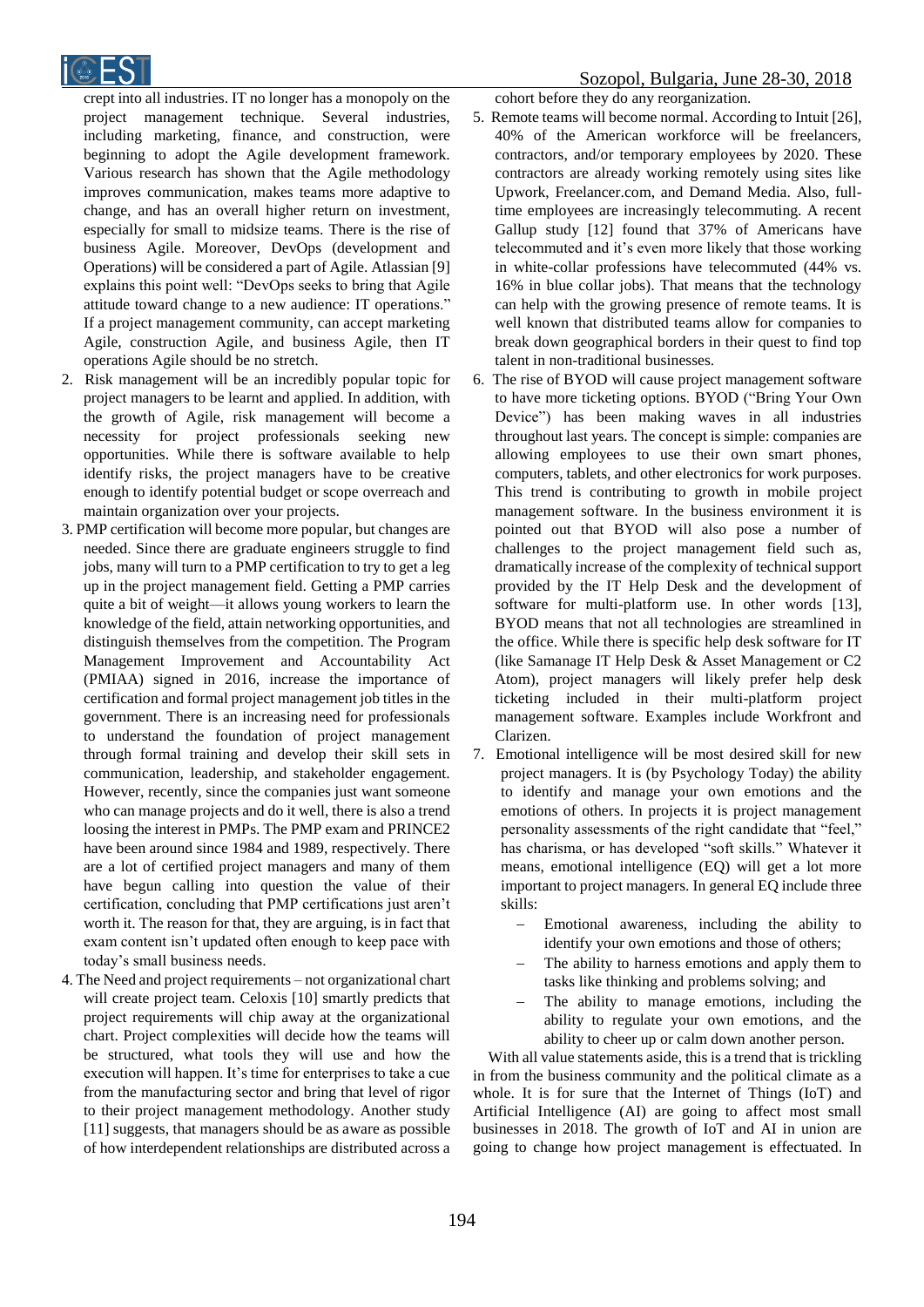

crept into all industries. IT no longer has a monopoly on the project management technique. Several industries, including marketing, finance, and construction, were beginning to adopt the Agile development framework. Various research has shown that the Agile methodology improves communication, makes teams more adaptive to change, and has an overall higher return on investment, especially for small to midsize teams. There is the rise of business Agile. Moreover, DevOps (development and Operations) will be considered a part of Agile. Atlassian [9] explains this point well: "DevOps seeks to bring that Agile attitude toward change to a new audience: IT operations." If a project management community, can accept marketing Agile, construction Agile, and business Agile, then IT operations Agile should be no stretch.

- 2. Risk management will be an incredibly popular topic for project managers to be learnt and applied. In addition, with the growth of Agile, risk management will become a necessity for project professionals seeking new opportunities. While there is software available to help identify risks, the project managers have to be creative enough to identify potential budget or scope overreach and maintain organization over your projects.
- 3. PMP certification will become more popular, but changes are needed. Since there are graduate engineers struggle to find jobs, many will turn to a PMP certification to try to get a leg up in the project management field. Getting a PMP carries quite a bit of weight—it allows young workers to learn the knowledge of the field, attain networking opportunities, and distinguish themselves from the competition. The Program Management Improvement and Accountability Act (PMIAA) signed in 2016, increase the importance of certification and formal project management job titles in the government. There is an increasing need for professionals to understand the foundation of project management through formal training and develop their skill sets in communication, leadership, and stakeholder engagement. However, recently, since the companies just want someone who can manage projects and do it well, there is also a trend loosing the interest in PMPs. The PMP exam and PRINCE2 have been around since 1984 and 1989, respectively. There are a lot of certified project managers and many of them have begun calling into question the value of their certification, concluding that PMP certifications just aren't worth it. The reason for that, they are arguing, is in fact that exam content isn't updated often enough to keep pace with today's small business needs.
- 4. The Need and project requirements not organizational chart will create project team. Celoxis [10] smartly predicts that project requirements will chip away at the organizational chart. Project complexities will decide how the teams will be structured, what tools they will use and how the execution will happen. It's time for enterprises to take a cue from the manufacturing sector and bring that level of rigor to their project management methodology. Another study [11] suggests, that managers should be as aware as possible of how interdependent relationships are distributed across a

cohort before they do any reorganization.

- 5. Remote teams will become normal. According to Intuit [26], 40% of the American workforce will be freelancers, contractors, and/or temporary employees by 2020. These contractors are already working remotely using sites like Upwork, Freelancer.com, and Demand Media. Also, fulltime employees are increasingly telecommuting. A recent Gallup study [12] found that 37% of Americans have telecommuted and it's even more likely that those working in white-collar professions have telecommuted (44% vs. 16% in blue collar jobs). That means that the technology can help with the growing presence of remote teams. It is well known that distributed teams allow for companies to break down geographical borders in their quest to find top talent in non-traditional businesses.
- 6. The rise of BYOD will cause project management software to have more ticketing options. BYOD ("Bring Your Own Device") has been making waves in all industries throughout last years. The concept is simple: companies are allowing employees to use their own smart phones, computers, tablets, and other electronics for work purposes. This trend is contributing to growth in mobile project management software. In the business environment it is pointed out that BYOD will also pose a number of challenges to the project management field such as, dramatically increase of the complexity of technical support provided by the IT Help Desk and the development of software for multi-platform use. In other words [13], BYOD means that not all technologies are streamlined in the office. While there is specific help desk software for IT (like Samanage IT Help Desk & Asset Management or C2 Atom), project managers will likely prefer help desk ticketing included in their multi-platform project management software. Examples include Workfront and Clarizen.
- 7. Emotional intelligence will be most desired skill for new project managers. It is (by Psychology Today) the ability to identify and manage your own emotions and the emotions of others. In projects it is project management personality assessments of the right candidate that "feel," has charisma, or has developed "soft skills." Whatever it means, emotional intelligence (EQ) will get a lot more important to project managers. In general EQ include three skills:
	- Emotional awareness, including the ability to identify your own emotions and those of others;
	- The ability to harness emotions and apply them to tasks like thinking and problems solving; and
	- The ability to manage emotions, including the ability to regulate your own emotions, and the ability to cheer up or calm down another person.

With all value statements aside, this is a trend that is trickling in from the business community and the political climate as a whole. It is for sure that the Internet of Things (IoT) and Artificial Intelligence (AI) are going to affect most small businesses in 2018. The growth of IoT and AI in union are going to change how project management is effectuated. In